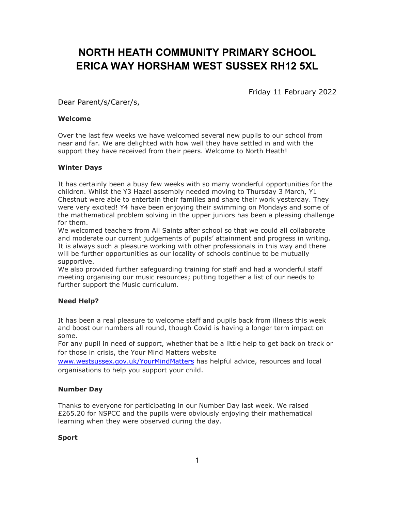# NORTH HEATH COMMUNITY PRIMARY SCHOOL ERICA WAY HORSHAM WEST SUSSEX RH12 5XL

Friday 11 February 2022

Dear Parent/s/Carer/s,

#### Welcome

Over the last few weeks we have welcomed several new pupils to our school from near and far. We are delighted with how well they have settled in and with the support they have received from their peers. Welcome to North Heath!

### Winter Days

It has certainly been a busy few weeks with so many wonderful opportunities for the children. Whilst the Y3 Hazel assembly needed moving to Thursday 3 March, Y1 Chestnut were able to entertain their families and share their work yesterday. They were very excited! Y4 have been enjoying their swimming on Mondays and some of the mathematical problem solving in the upper juniors has been a pleasing challenge for them.

We welcomed teachers from All Saints after school so that we could all collaborate and moderate our current judgements of pupils' attainment and progress in writing. It is always such a pleasure working with other professionals in this way and there will be further opportunities as our locality of schools continue to be mutually supportive.

We also provided further safeguarding training for staff and had a wonderful staff meeting organising our music resources; putting together a list of our needs to further support the Music curriculum.

## Need Help?

It has been a real pleasure to welcome staff and pupils back from illness this week and boost our numbers all round, though Covid is having a longer term impact on some.

For any pupil in need of support, whether that be a little help to get back on track or for those in crisis, the Your Mind Matters website

www.westsussex.gov.uk/YourMindMatters has helpful advice, resources and local organisations to help you support your child.

## Number Day

Thanks to everyone for participating in our Number Day last week. We raised £265.20 for NSPCC and the pupils were obviously enjoying their mathematical learning when they were observed during the day.

#### Sport